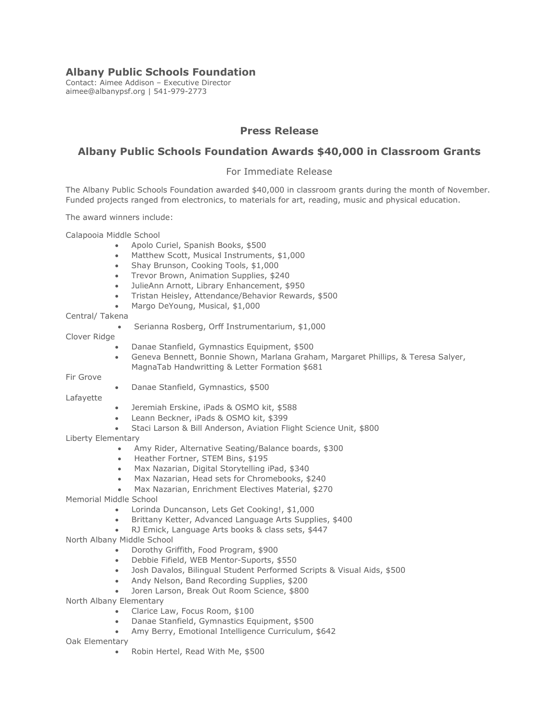## **Albany Public Schools Foundation**

Contact: Aimee Addison – Executive Director aimee@albanypsf.org | 541-979-2773

# **Press Release**

# **Albany Public Schools Foundation Awards \$40,000 in Classroom Grants**

## For Immediate Release

 The Albany Public Schools Foundation awarded \$40,000 in classroom grants during the month of November. Funded projects ranged from electronics, to materials for art, reading, music and physical education.

The award winners include:

Calapooia Middle School

- Apolo Curiel, Spanish Books, \$500
- Matthew Scott, Musical Instruments, \$1,000
- Shay Brunson, Cooking Tools, \$1,000
- Trevor Brown, Animation Supplies, \$240
- JulieAnn Arnott, Library Enhancement, \$950
- Tristan Heisley, Attendance/Behavior Rewards, \$500
- Margo DeYoung, Musical, \$1,000

### Central/ Takena

• Serianna Rosberg, Orff Instrumentarium, \$1,000

### Clover Ridge

- Danae Stanfield, Gymnastics Equipment, \$500
- • Geneva Bennett, Bonnie Shown, Marlana Graham, Margaret Phillips, & Teresa Salyer, MagnaTab Handwritting & Letter Formation \$681

Fir Grove

• Danae Stanfield, Gymnastics, \$500

Lafayette

- Jeremiah Erskine, iPads & OSMO kit, \$588
- Leann Beckner, iPads & OSMO kit, \$399
- Staci Larson & Bill Anderson, Aviation Flight Science Unit, \$800

Liberty Elementary

- Amy Rider, Alternative Seating/Balance boards, \$300
- Heather Fortner, STEM Bins, \$195
- Max Nazarian, Digital Storytelling iPad, \$340
- Max Nazarian, Head sets for Chromebooks, \$240
- Max Nazarian, Enrichment Electives Material, \$270
- Memorial Middle School
	- Lorinda Duncanson, Lets Get Cooking!, \$1,000
	- Brittany Ketter, Advanced Language Arts Supplies, \$400
	- RJ Emick, Language Arts books & class sets, \$447

North Albany Middle School

- Dorothy Griffith, Food Program, \$900
- Debbie Fifield, WEB Mentor-Suports, \$550
- Josh Davalos, Bilingual Student Performed Scripts & Visual Aids, \$500
- Andy Nelson, Band Recording Supplies, \$200
- Joren Larson, Break Out Room Science, \$800
- North Albany Elementary
	- Clarice Law, Focus Room, \$100
	- Danae Stanfield, Gymnastics Equipment, \$500
	- Amy Berry, Emotional Intelligence Curriculum, \$642
- Oak Elementary
	- Robin Hertel, Read With Me, \$500